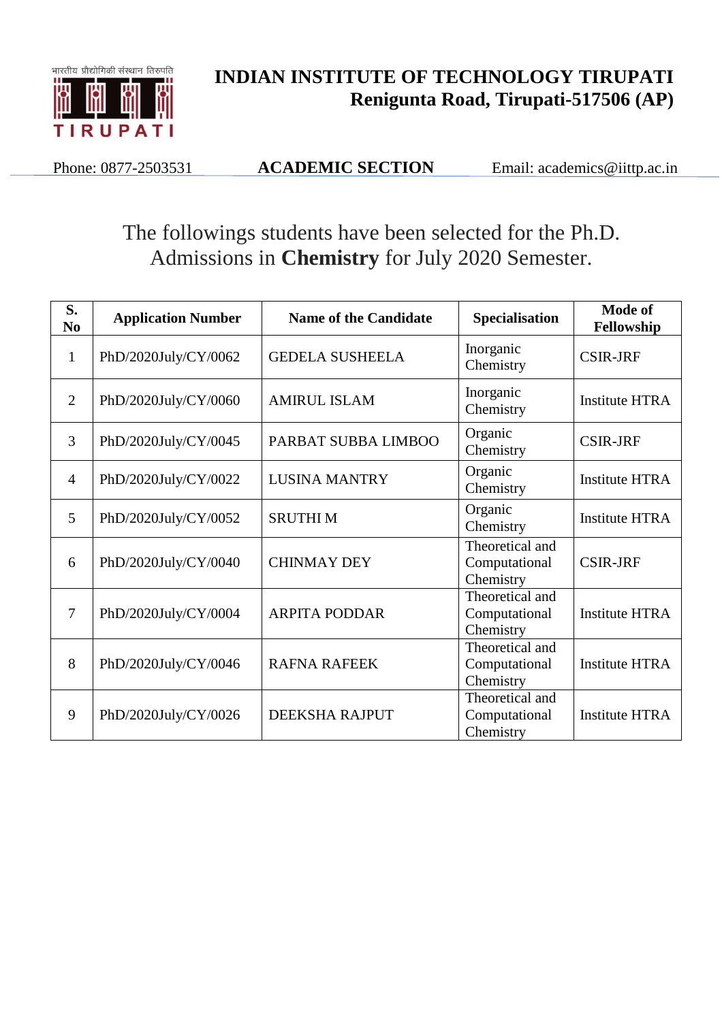

## **INDIAN INSTITUTE OF TECHNOLOGY TIRUPATI Renigunta Road, Tirupati-517506 (AP)**

Phone: 0877-2503531 **ACADEMIC SECTION** Email: academics@iittp.ac.in

## The followings students have been selected for the Ph.D. Admissions in **Chemistry** for July 2020 Semester.

| S.<br>N <sub>0</sub> | <b>Application Number</b> | <b>Name of the Candidate</b> | <b>Specialisation</b>                         | Mode of<br>Fellowship |
|----------------------|---------------------------|------------------------------|-----------------------------------------------|-----------------------|
| $\mathbf{1}$         | PhD/2020July/CY/0062      | <b>GEDELA SUSHEELA</b>       | Inorganic<br>Chemistry                        | <b>CSIR-JRF</b>       |
| $\overline{2}$       | PhD/2020July/CY/0060      | <b>AMIRUL ISLAM</b>          | Inorganic<br>Chemistry                        | <b>Institute HTRA</b> |
| 3                    | PhD/2020July/CY/0045      | PARBAT SUBBA LIMBOO          | Organic<br>Chemistry                          | <b>CSIR-JRF</b>       |
| $\overline{4}$       | PhD/2020July/CY/0022      | <b>LUSINA MANTRY</b>         | Organic<br>Chemistry                          | <b>Institute HTRA</b> |
| 5                    | PhD/2020July/CY/0052      | <b>SRUTHIM</b>               | Organic<br>Chemistry                          | <b>Institute HTRA</b> |
| 6                    | PhD/2020July/CY/0040      | <b>CHINMAY DEY</b>           | Theoretical and<br>Computational<br>Chemistry | <b>CSIR-JRF</b>       |
| $\overline{7}$       | PhD/2020July/CY/0004      | <b>ARPITA PODDAR</b>         | Theoretical and<br>Computational<br>Chemistry | <b>Institute HTRA</b> |
| 8                    | PhD/2020July/CY/0046      | <b>RAFNA RAFEEK</b>          | Theoretical and<br>Computational<br>Chemistry | <b>Institute HTRA</b> |
| 9                    | PhD/2020July/CY/0026      | DEEKSHA RAJPUT               | Theoretical and<br>Computational<br>Chemistry | <b>Institute HTRA</b> |